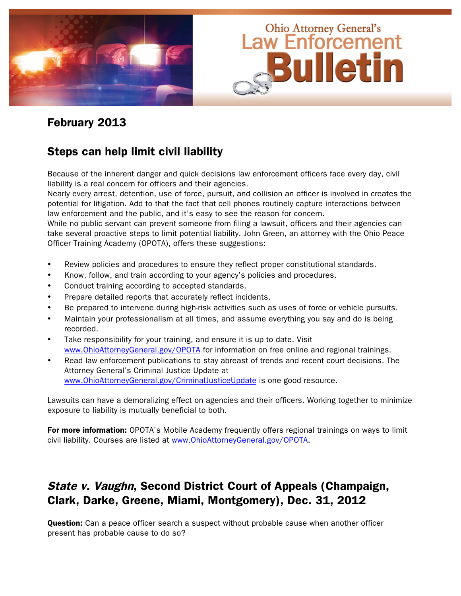

### February 2013

### Steps can help limit civil liability

Because of the inherent danger and quick decisions law enforcement officers face every day, civil liability is a real concern for officers and their agencies.

Nearly every arrest, detention, use of force, pursuit, and collision an officer is involved in creates the potential for litigation. Add to that the fact that cell phones routinely capture interactions between law enforcement and the public, and it's easy to see the reason for concern.

While no public servant can prevent someone from filing a lawsuit, officers and their agencies can take several proactive steps to limit potential liability. John Green, an attorney with the Ohio Peace Officer Training Academy (OPOTA), offers these suggestions:

- Review policies and procedures to ensure they reflect proper constitutional standards.
- Know, follow, and train according to your agency's policies and procedures.
- Conduct training according to accepted standards.
- Prepare detailed reports that accurately reflect incidents.
- Be prepared to intervene during high-risk activities such as uses of force or vehicle pursuits.
- Maintain your professionalism at all times, and assume everything you say and do is being recorded.
- Take responsibility for your training, and ensure it is up to date. Visit www.OhioAttorneyGeneral.gov/OPOTA for information on free online and regional trainings.
- Read law enforcement publications to stay abreast of trends and recent court decisions. The Attorney General's Criminal Justice Update at www.OhioAttorneyGeneral.gov/CriminalJusticeUpdate is one good resource.

Lawsuits can have a demoralizing effect on agencies and their officers. Working together to minimize exposure to liability is mutually beneficial to both.

For more information: OPOTA's Mobile Academy frequently offers regional trainings on ways to limit civil liability. Courses are listed at www.OhioAttorneyGeneral.gov/OPOTA.

# State v. Vaughn, Second District Court of Appeals (Champaign, Clark, Darke, Greene, Miami, Montgomery), Dec. 31, 2012

**Question:** Can a peace officer search a suspect without probable cause when another officer present has probable cause to do so?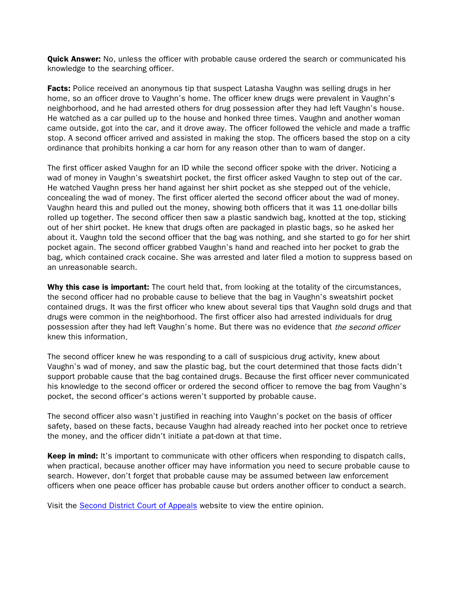**Quick Answer:** No, unless the officer with probable cause ordered the search or communicated his knowledge to the searching officer.

**Facts:** Police received an anonymous tip that suspect Latasha Vaughn was selling drugs in her home, so an officer drove to Vaughn's home. The officer knew drugs were prevalent in Vaughn's neighborhood, and he had arrested others for drug possession after they had left Vaughn's house. He watched as a car pulled up to the house and honked three times. Vaughn and another woman came outside, got into the car, and it drove away. The officer followed the vehicle and made a traffic stop. A second officer arrived and assisted in making the stop. The officers based the stop on a city ordinance that prohibits honking a car horn for any reason other than to warn of danger.

The first officer asked Vaughn for an ID while the second officer spoke with the driver. Noticing a wad of money in Vaughn's sweatshirt pocket, the first officer asked Vaughn to step out of the car. He watched Vaughn press her hand against her shirt pocket as she stepped out of the vehicle, concealing the wad of money. The first officer alerted the second officer about the wad of money. Vaughn heard this and pulled out the money, showing both officers that it was 11 one-dollar bills rolled up together. The second officer then saw a plastic sandwich bag, knotted at the top, sticking out of her shirt pocket. He knew that drugs often are packaged in plastic bags, so he asked her about it. Vaughn told the second officer that the bag was nothing, and she started to go for her shirt pocket again. The second officer grabbed Vaughn's hand and reached into her pocket to grab the bag, which contained crack cocaine. She was arrested and later filed a motion to suppress based on an unreasonable search.

Why this case is important: The court held that, from looking at the totality of the circumstances, the second officer had no probable cause to believe that the bag in Vaughn's sweatshirt pocket contained drugs. It was the first officer who knew about several tips that Vaughn sold drugs and that drugs were common in the neighborhood. The first officer also had arrested individuals for drug possession after they had left Vaughn's home. But there was no evidence that the second officer knew this information.

The second officer knew he was responding to a call of suspicious drug activity, knew about Vaughn's wad of money, and saw the plastic bag, but the court determined that those facts didn't support probable cause that the bag contained drugs. Because the first officer never communicated his knowledge to the second officer or ordered the second officer to remove the bag from Vaughn's pocket, the second officer's actions weren't supported by probable cause.

The second officer also wasn't justified in reaching into Vaughn's pocket on the basis of officer safety, based on these facts, because Vaughn had already reached into her pocket once to retrieve the money, and the officer didn't initiate a pat-down at that time.

Keep in mind: It's important to communicate with other officers when responding to dispatch calls, when practical, because another officer may have information you need to secure probable cause to search. However, don't forget that probable cause may be assumed between law enforcement officers when one peace officer has probable cause but orders another officer to conduct a search.

Visit the [Second District Court of Appeals](http://www.supremecourt.ohio.gov/rod/docs/pdf/2/2012/2012-ohio-6227.pdf) website to view the entire opinion.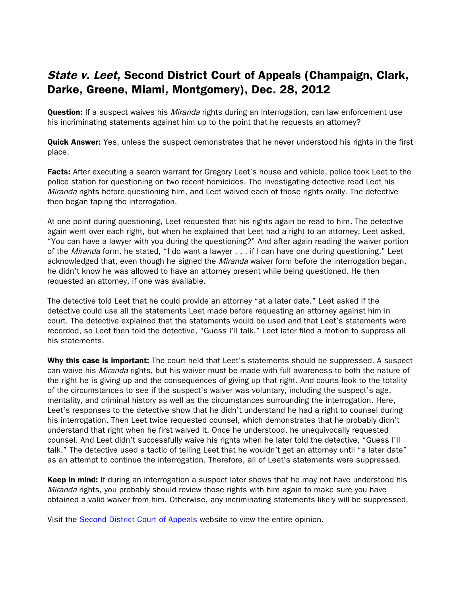# State v. Leet, Second District Court of Appeals (Champaign, Clark, Darke, Greene, Miami, Montgomery), Dec. 28, 2012

**Question:** If a suspect waives his *Miranda* rights during an interrogation, can law enforcement use his incriminating statements against him up to the point that he requests an attorney?

**Quick Answer:** Yes, unless the suspect demonstrates that he never understood his rights in the first place.

**Facts:** After executing a search warrant for Gregory Leet's house and vehicle, police took Leet to the police station for questioning on two recent homicides. The investigating detective read Leet his Miranda rights before questioning him, and Leet waived each of those rights orally. The detective then began taping the interrogation.

At one point during questioning, Leet requested that his rights again be read to him. The detective again went over each right, but when he explained that Leet had a right to an attorney, Leet asked, "You can have a lawyer with you during the questioning?" And after again reading the waiver portion of the *Miranda* form, he stated, "I do want a lawyer . . . if I can have one during questioning." Leet acknowledged that, even though he signed the Miranda waiver form before the interrogation began, he didn't know he was allowed to have an attorney present while being questioned. He then requested an attorney, if one was available.

The detective told Leet that he could provide an attorney "at a later date." Leet asked if the detective could use all the statements Leet made before requesting an attorney against him in court. The detective explained that the statements would be used and that Leet's statements were recorded, so Leet then told the detective, "Guess I'll talk." Leet later filed a motion to suppress all his statements.

Why this case is important: The court held that Leet's statements should be suppressed. A suspect can waive his *Miranda* rights, but his waiver must be made with full awareness to both the nature of the right he is giving up and the consequences of giving up that right. And courts look to the totality of the circumstances to see if the suspect's waiver was voluntary, including the suspect's age, mentality, and criminal history as well as the circumstances surrounding the interrogation. Here, Leet's responses to the detective show that he didn't understand he had a right to counsel during his interrogation. Then Leet twice requested counsel, which demonstrates that he probably didn't understand that right when he first waived it. Once he understood, he unequivocally requested counsel. And Leet didn't successfully waive his rights when he later told the detective, "Guess I'll talk." The detective used a tactic of telling Leet that he wouldn't get an attorney until "a later date" as an attempt to continue the interrogation. Therefore, all of Leet's statements were suppressed.

Keep in mind: If during an interrogation a suspect later shows that he may not have understood his Miranda rights, you probably should review those rights with him again to make sure you have obtained a valid waiver from him. Otherwise, any incriminating statements likely will be suppressed.

Visit the [Second District Court of Appeals](http://www.supremecourt.ohio.gov/rod/docs/pdf/2/2012/2012-ohio-6186.pdf) website to view the entire opinion.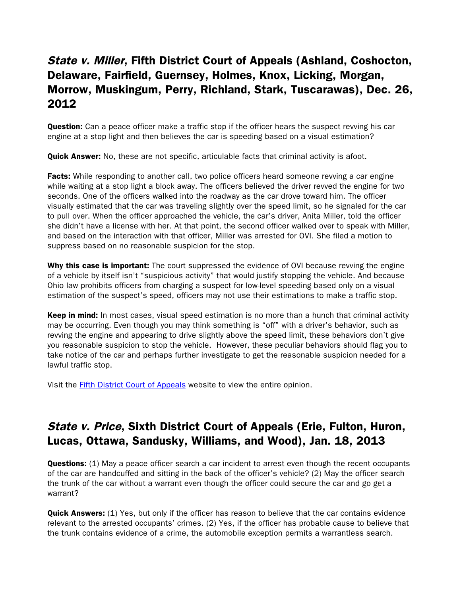## State v. Miller, Fifth District Court of Appeals (Ashland, Coshocton, Delaware, Fairfield, Guernsey, Holmes, Knox, Licking, Morgan, Morrow, Muskingum, Perry, Richland, Stark, Tuscarawas), Dec. 26, 2012

**Question:** Can a peace officer make a traffic stop if the officer hears the suspect revving his car engine at a stop light and then believes the car is speeding based on a visual estimation?

**Quick Answer:** No, these are not specific, articulable facts that criminal activity is afoot.

**Facts:** While responding to another call, two police officers heard someone revving a car engine while waiting at a stop light a block away. The officers believed the driver revved the engine for two seconds. One of the officers walked into the roadway as the car drove toward him. The officer visually estimated that the car was traveling slightly over the speed limit, so he signaled for the car to pull over. When the officer approached the vehicle, the car's driver, Anita Miller, told the officer she didn't have a license with her. At that point, the second officer walked over to speak with Miller, and based on the interaction with that officer, Miller was arrested for OVI. She filed a motion to suppress based on no reasonable suspicion for the stop.

Why this case is important: The court suppressed the evidence of OVI because revving the engine of a vehicle by itself isn't "suspicious activity" that would justify stopping the vehicle. And because Ohio law prohibits officers from charging a suspect for low-level speeding based only on a visual estimation of the suspect's speed, officers may not use their estimations to make a traffic stop.

**Keep in mind:** In most cases, visual speed estimation is no more than a hunch that criminal activity may be occurring. Even though you may think something is "off" with a driver's behavior, such as revving the engine and appearing to drive slightly above the speed limit, these behaviors don't give you reasonable suspicion to stop the vehicle. However, these peculiar behaviors should flag you to take notice of the car and perhaps further investigate to get the reasonable suspicion needed for a lawful traffic stop.

Visit the **Fifth District Court of Appeals** website to view the entire opinion.

### State v. Price, Sixth District Court of Appeals (Erie, Fulton, Huron, Lucas, Ottawa, Sandusky, Williams, and Wood), Jan. 18, 2013

**Questions:** (1) May a peace officer search a car incident to arrest even though the recent occupants of the car are handcuffed and sitting in the back of the officer's vehicle? (2) May the officer search the trunk of the car without a warrant even though the officer could secure the car and go get a warrant?

Quick Answers: (1) Yes, but only if the officer has reason to believe that the car contains evidence relevant to the arrested occupants' crimes. (2) Yes, if the officer has probable cause to believe that the trunk contains evidence of a crime, the automobile exception permits a warrantless search.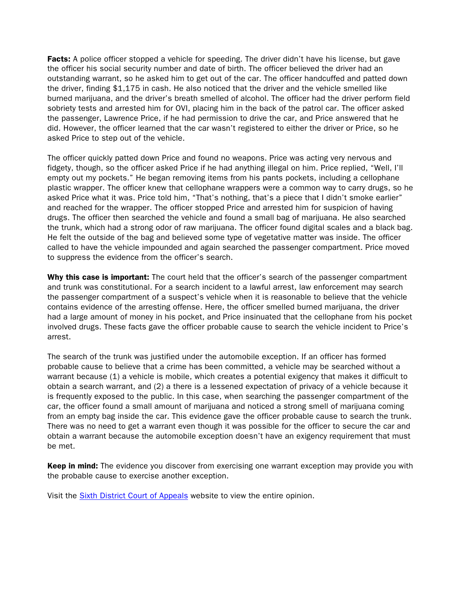**Facts:** A police officer stopped a vehicle for speeding. The driver didn't have his license, but gave the officer his social security number and date of birth. The officer believed the driver had an outstanding warrant, so he asked him to get out of the car. The officer handcuffed and patted down the driver, finding \$1,175 in cash. He also noticed that the driver and the vehicle smelled like burned marijuana, and the driver's breath smelled of alcohol. The officer had the driver perform field sobriety tests and arrested him for OVI, placing him in the back of the patrol car. The officer asked the passenger, Lawrence Price, if he had permission to drive the car, and Price answered that he did. However, the officer learned that the car wasn't registered to either the driver or Price, so he asked Price to step out of the vehicle.

The officer quickly patted down Price and found no weapons. Price was acting very nervous and fidgety, though, so the officer asked Price if he had anything illegal on him. Price replied, "Well, I'll empty out my pockets." He began removing items from his pants pockets, including a cellophane plastic wrapper. The officer knew that cellophane wrappers were a common way to carry drugs, so he asked Price what it was. Price told him, "That's nothing, that's a piece that I didn't smoke earlier" and reached for the wrapper. The officer stopped Price and arrested him for suspicion of having drugs. The officer then searched the vehicle and found a small bag of marijuana. He also searched the trunk, which had a strong odor of raw marijuana. The officer found digital scales and a black bag. He felt the outside of the bag and believed some type of vegetative matter was inside. The officer called to have the vehicle impounded and again searched the passenger compartment. Price moved to suppress the evidence from the officer's search.

Why this case is important: The court held that the officer's search of the passenger compartment and trunk was constitutional. For a search incident to a lawful arrest, law enforcement may search the passenger compartment of a suspect's vehicle when it is reasonable to believe that the vehicle contains evidence of the arresting offense. Here, the officer smelled burned marijuana, the driver had a large amount of money in his pocket, and Price insinuated that the cellophane from his pocket involved drugs. These facts gave the officer probable cause to search the vehicle incident to Price's arrest.

The search of the trunk was justified under the automobile exception. If an officer has formed probable cause to believe that a crime has been committed, a vehicle may be searched without a warrant because (1) a vehicle is mobile, which creates a potential exigency that makes it difficult to obtain a search warrant, and (2) a there is a lessened expectation of privacy of a vehicle because it is frequently exposed to the public. In this case, when searching the passenger compartment of the car, the officer found a small amount of marijuana and noticed a strong smell of marijuana coming from an empty bag inside the car. This evidence gave the officer probable cause to search the trunk. There was no need to get a warrant even though it was possible for the officer to secure the car and obtain a warrant because the automobile exception doesn't have an exigency requirement that must be met.

**Keep in mind:** The evidence you discover from exercising one warrant exception may provide you with the probable cause to exercise another exception.

Visit the [Sixth District Court of Appeals](http://www.supremecourt.ohio.gov/rod/docs/pdf/6/2013/2013-ohio-130.pdf) website to view the entire opinion.